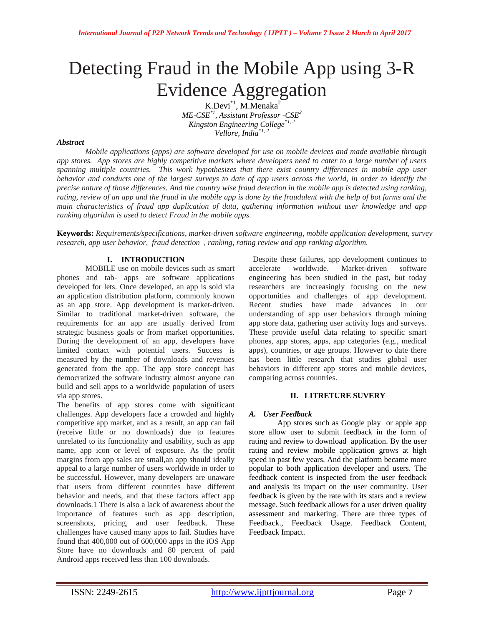# Detecting Fraud in the Mobile App using 3-R Evidence Aggregation

K.Devi<sup>\*1</sup>, M.Menaka<sup>2</sup> *ME-CSE\*1, Assistant Professor -CSE<sup>2</sup> Kingston Engineering College\*1, 2 Vellore, India\*1, 2*

#### *Abstract*

*Mobile applications (apps) are software developed for use on mobile devices and made available through app stores. App stores are highly competitive markets where developers need to cater to a large number of users spanning multiple countries. This work hypothesizes that there exist country differences in mobile app user behavior and conducts one of the largest surveys to date of app users across the world, in order to identify the precise nature of those differences. And the country wise fraud detection in the mobile app is detected using ranking, rating, review of an app and the fraud in the mobile app is done by the fraudulent with the help of bot farms and the main characteristics of fraud app duplication of data, gathering information without user knowledge and app ranking algorithm is used to detect Fraud in the mobile apps.*

**Keywords:** *Requirements/specifications, market-driven software engineering, mobile application development, survey research, app user behavior, fraud detection , ranking, rating review and app ranking algorithm.*

## **I. INTRODUCTION**

MOBILE use on mobile devices such as smart phones and tab- apps are software applications developed for lets. Once developed, an app is sold via an application distribution platform, commonly known as an app store. App development is market-driven. Similar to traditional market-driven software, the requirements for an app are usually derived from strategic business goals or from market opportunities. During the development of an app, developers have limited contact with potential users. Success is measured by the number of downloads and revenues generated from the app. The app store concept has democratized the software industry almost anyone can build and sell apps to a worldwide population of users via app stores.

The benefits of app stores come with significant challenges. App developers face a crowded and highly competitive app market, and as a result, an app can fail (receive little or no downloads) due to features unrelated to its functionality and usability, such as app name, app icon or level of exposure. As the profit margins from app sales are small,an app should ideally appeal to a large number of users worldwide in order to be successful. However, many developers are unaware that users from different countries have different behavior and needs, and that these factors affect app downloads.1 There is also a lack of awareness about the importance of features such as app description, screenshots, pricing, and user feedback. These challenges have caused many apps to fail. Studies have found that 400,000 out of 600,000 apps in the iOS App Store have no downloads and 80 percent of paid Android apps received less than 100 downloads.

 Despite these failures, app development continues to accelerate worldwide. Market-driven software engineering has been studied in the past, but today researchers are increasingly focusing on the new opportunities and challenges of app development. Recent studies have made advances in our understanding of app user behaviors through mining app store data, gathering user activity logs and surveys. These provide useful data relating to specific smart phones, app stores, apps, app categories (e.g., medical apps), countries, or age groups. However to date there has been little research that studies global user behaviors in different app stores and mobile devices, comparing across countries.

## **II. LITRETURE SUVERY**

## *A. User Feedback*

App stores such as Google play or apple app store allow user to submit feedback in the form of rating and review to download application. By the user rating and review mobile application grows at high speed in past few years. And the platform became more popular to both application developer and users. The feedback content is inspected from the user feedback and analysis its impact on the user community. User feedback is given by the rate with its stars and a review message. Such feedback allows for a user driven quality assessment and marketing. There are three types of Feedback., Feedback Usage. Feedback Content, Feedback Impact.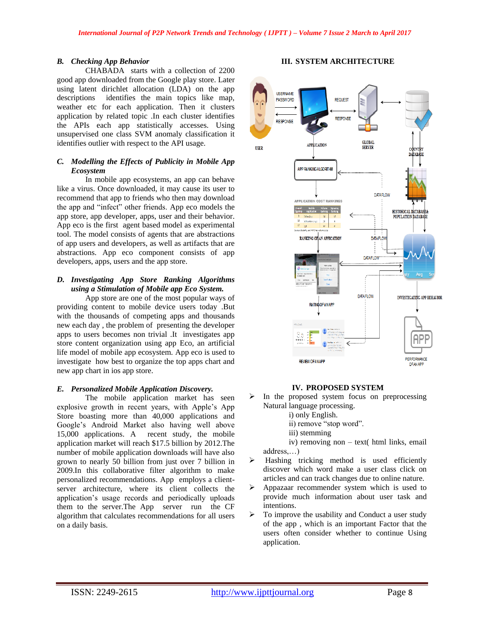## *B. Checking App Behavior*

CHABADA starts with a collection of 2200 good app downloaded from the Google play store. Later using latent dirichlet allocation (LDA) on the app descriptions identifies the main topics like map, weather etc for each application. Then it clusters application by related topic .In each cluster identifies the APIs each app statistically accesses. Using unsupervised one class SVM anomaly classification it identifies outlier with respect to the API usage.

## *C. Modelling the Effects of Publicity in Mobile App Ecosystem*

In mobile app ecosystems, an app can behave like a virus. Once downloaded, it may cause its user to recommend that app to friends who then may download the app and "infect" other friends. App eco models the app store, app developer, apps, user and their behavior. App eco is the first agent based model as experimental tool. The model consists of agents that are abstractions of app users and developers, as well as artifacts that are abstractions. App eco component consists of app developers, apps, users and the app store.

## *D. Investigating App Store Ranking Algorithms using a Stimulation of Mobile app Eco System.*

App store are one of the most popular ways of providing content to mobile device users today .But with the thousands of competing apps and thousands new each day , the problem of presenting the developer apps to users becomes non trivial .It investigates app store content organization using app Eco, an artificial life model of mobile app ecosystem. App eco is used to investigate how best to organize the top apps chart and new app chart in ios app store.

## *E. Personalized Mobile Application Discovery.*

The mobile application market has seen explosive growth in recent years, with Apple's App Store boasting more than 40,000 applications and Google's Android Market also having well above 15,000 applications. A recent study, the mobile application market will reach \$17.5 billion by 2012.The number of mobile application downloads will have also grown to nearly 50 billion from just over 7 billion in 2009.In this collaborative filter algorithm to make personalized recommendations. App employs a clientserver architecture, where its client collects the application's usage records and periodically uploads them to the server.The App server run the CF algorithm that calculates recommendations for all users on a daily basis.

## **III. SYSTEM ARCHITECTURE**



## **IV. PROPOSED SYSTEM**

- $\triangleright$  In the proposed system focus on preprocessing Natural language processing.
	- i) only English.
	- ii) remove "stop word".
	- iii) stemming

iv) removing non – text( html links, email address,…)

- > Hashing tricking method is used efficiently discover which word make a user class click on articles and can track changes due to online nature.
- Appazaar recommender system which is used to provide much information about user task and intentions.
- $\triangleright$  To improve the usability and Conduct a user study of the app , which is an important Factor that the users often consider whether to continue Using application.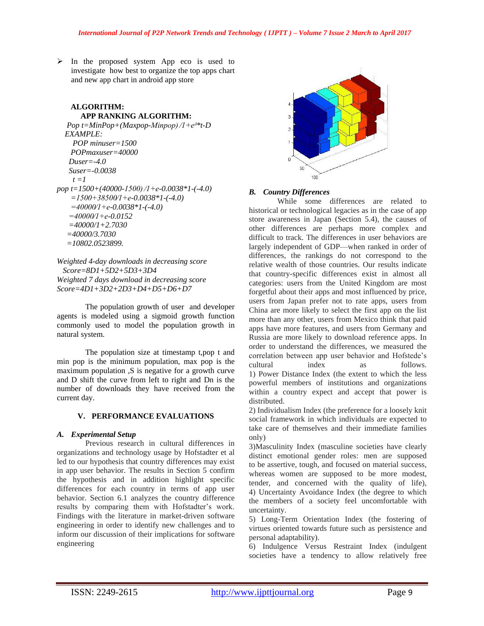$\triangleright$  In the proposed system App eco is used to investigate how best to organize the top apps chart and new app chart in android app store

## **ALGORITHM: APP RANKING ALGORITHM:**

```
Pop t=MinPop+(Maxpop-Minpop)/1+e^{\delta * t}-D
   EXAMPLE:
     POP minuser=1500
     POPmaxuser=40000
    Duser=-4.0
    Suser=-0.0038
    t = 1pop t=1500+(40000-1500) ∕1+e-0.0038*1-(-4.0)
     =1500+38500∕1+e-0.0038*1-(-4.0)
     =40000∕1+e-0.0038*1-(-4.0)
    =40000∕1+e-0.0152
    =40000/1+2.7030
    =40000/3.7030
    =10802.0523899.
```

```
Weighted 4-day downloads in decreasing score
  Score=8D1+5D2+5D3+3D4
Weighted 7 days download in decreasing score
Score=4D1+3D2+2D3+D4+D5+D6+D7
```
The population growth of user and developer agents is modeled using a sigmoid growth function commonly used to model the population growth in natural system.

The population size at timestamp t,pop t and min pop is the minimum population, max pop is the maximum population ,S is negative for a growth curve and D shift the curve from left to right and Dn is the number of downloads they have received from the current day.

## **V. PERFORMANCE EVALUATIONS**

## *A. Experimental Setup*

Previous research in cultural differences in organizations and technology usage by Hofstadter et al led to our hypothesis that country differences may exist in app user behavior. The results in Section 5 confirm the hypothesis and in addition highlight specific differences for each country in terms of app user behavior. Section 6.1 analyzes the country difference results by comparing them with Hofstadter's work. Findings with the literature in market-driven software engineering in order to identify new challenges and to inform our discussion of their implications for software engineering



## *B. Country Differences*

While some differences are related to historical or technological legacies as in the case of app store awareness in Japan (Section 5.4), the causes of other differences are perhaps more complex and difficult to track. The differences in user behaviors are largely independent of GDP—when ranked in order of differences, the rankings do not correspond to the relative wealth of those countries. Our results indicate that country-specific differences exist in almost all categories: users from the United Kingdom are most forgetful about their apps and most influenced by price, users from Japan prefer not to rate apps, users from China are more likely to select the first app on the list more than any other, users from Mexico think that paid apps have more features, and users from Germany and Russia are more likely to download reference apps. In order to understand the differences, we measured the correlation between app user behavior and Hofstede's cultural index as follows. 1) Power Distance Index (the extent to which the less powerful members of institutions and organizations within a country expect and accept that power is distributed.

2) Individualism Index (the preference for a loosely knit social framework in which individuals are expected to take care of themselves and their immediate families only)

3)Masculinity Index (masculine societies have clearly distinct emotional gender roles: men are supposed to be assertive, tough, and focused on material success, whereas women are supposed to be more modest, tender, and concerned with the quality of life), 4) Uncertainty Avoidance Index (the degree to which the members of a society feel uncomfortable with uncertainty.

5) Long-Term Orientation Index (the fostering of virtues oriented towards future such as persistence and personal adaptability).

6) Indulgence Versus Restraint Index (indulgent societies have a tendency to allow relatively free